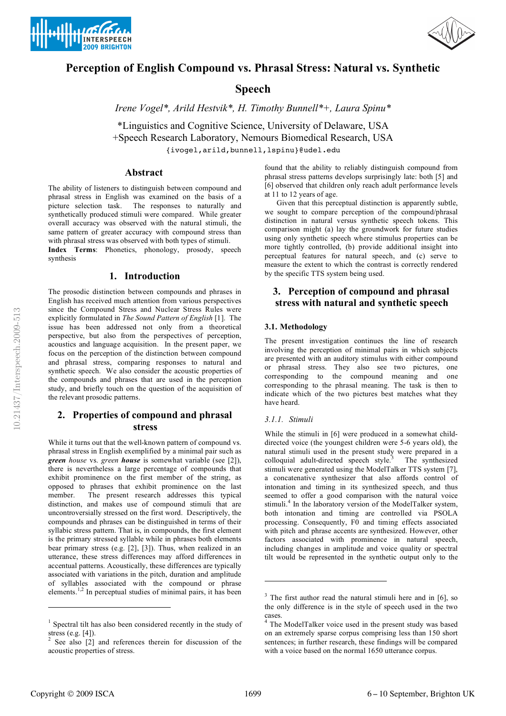



# **Perception of English Compound vs. Phrasal Stress: Natural vs. Synthetic**

# **Speech**

*Irene Vogel\*, Arild Hestvik\*, H. Timothy Bunnell\*+, Laura Spinu\**

\*Linguistics and Cognitive Science, University of Delaware, USA +Speech Research Laboratory, Nemours Biomedical Research, USA {ivogel,arild,bunnell,lspinu}@udel.edu

## **Abstract**

The ability of listeners to distinguish between compound and phrasal stress in English was examined on the basis of a picture selection task. The responses to naturally and synthetically produced stimuli were compared. While greater overall accuracy was observed with the natural stimuli, the same pattern of greater accuracy with compound stress than with phrasal stress was observed with both types of stimuli.

**Index Terms**: Phonetics, phonology, prosody, speech synthesis

### **1. Introduction**

The prosodic distinction between compounds and phrases in English has received much attention from various perspectives since the Compound Stress and Nuclear Stress Rules were explicitly formulated in *The Sound Pattern of English* [1]. The issue has been addressed not only from a theoretical perspective, but also from the perspectives of perception, acoustics and language acquisition. In the present paper, we focus on the perception of the distinction between compound and phrasal stress, comparing responses to natural and synthetic speech. We also consider the acoustic properties of the compounds and phrases that are used in the perception study, and briefly touch on the question of the acquisition of the relevant prosodic patterns.

## **2. Properties of compound and phrasal stress**

While it turns out that the well-known pattern of compound vs. phrasal stress in English exemplified by a minimal pair such as *green house* vs. *green house* is somewhat variable (see [2]), there is nevertheless a large percentage of compounds that exhibit prominence on the first member of the string, as opposed to phrases that exhibit prominence on the last member. The present research addresses this typical distinction, and makes use of compound stimuli that are uncontroversially stressed on the first word. Descriptively, the compounds and phrases can be distinguished in terms of their syllabic stress pattern. That is, in compounds, the first element is the primary stressed syllable while in phrases both elements bear primary stress (e.g. [2], [3]). Thus, when realized in an utterance, these stress differences may afford differences in accentual patterns. Acoustically, these differences are typically associated with variations in the pitch, duration and amplitude of syllables associated with the compound or phrase elements.<sup>1,2</sup> In perceptual studies of minimal pairs, it has been found that the ability to reliably distinguish compound from phrasal stress patterns develops surprisingly late: both [5] and [6] observed that children only reach adult performance levels at 11 to 12 years of age.

Given that this perceptual distinction is apparently subtle, we sought to compare perception of the compound/phrasal distinction in natural versus synthetic speech tokens. This comparison might (a) lay the groundwork for future studies using only synthetic speech where stimulus properties can be more tightly controlled, (b) provide additional insight into perceptual features for natural speech, and (c) serve to measure the extent to which the contrast is correctly rendered by the specific TTS system being used.

## **3. Perception of compound and phrasal stress with natural and synthetic speech**

#### **3.1. Methodology**

The present investigation continues the line of research involving the perception of minimal pairs in which subjects are presented with an auditory stimulus with either compound or phrasal stress. They also see two pictures, one corresponding to the compound meaning and one corresponding to the phrasal meaning. The task is then to indicate which of the two pictures best matches what they have heard.

#### *3.1.1. Stimuli*

While the stimuli in [6] were produced in a somewhat childdirected voice (the youngest children were 5-6 years old), the natural stimuli used in the present study were prepared in a colloquial adult-directed speech style.<sup>3</sup> The synthesized stimuli were generated using the ModelTalker TTS system [7], a concatenative synthesizer that also affords control of intonation and timing in its synthesized speech, and thus seemed to offer a good comparison with the natural voice stimuli.<sup>4</sup> In the laboratory version of the ModelTalker system, both intonation and timing are controlled via PSOLA processing. Consequently, F0 and timing effects associated with pitch and phrase accents are synthesized. However, other factors associated with prominence in natural speech, including changes in amplitude and voice quality or spectral tilt would be represented in the synthetic output only to the

 $\overline{a}$ 

-

<sup>&</sup>lt;sup>1</sup> Spectral tilt has also been considered recently in the study of stress (e.g. [4]).

<sup>&</sup>lt;sup>2</sup> See also [2] and references therein for discussion of the acoustic properties of stress.

 $3$  The first author read the natural stimuli here and in [6], so the only difference is in the style of speech used in the two cases.

<sup>4</sup> The ModelTalker voice used in the present study was based on an extremely sparse corpus comprising less than 150 short sentences; in further research, these findings will be compared with a voice based on the normal 1650 utterance corpus.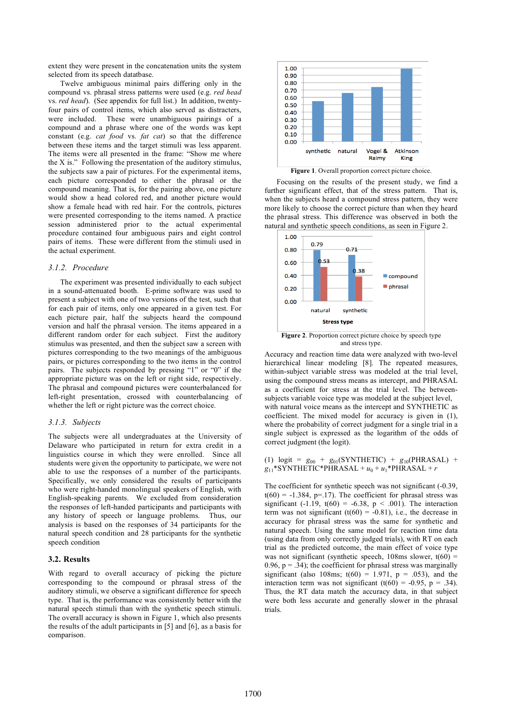extent they were present in the concatenation units the system selected from its speech datatbase.

Twelve ambiguous minimal pairs differing only in the compound vs. phrasal stress patterns were used (e.g. *red head*  vs. *red head*). (See appendix for full list.) In addition, twentyfour pairs of control items, which also served as distracters, were included. These were unambiguous pairings of a compound and a phrase where one of the words was kept constant (e.g. *cat food* vs. *fat cat*) so that the difference between these items and the target stimuli was less apparent. The items were all presented in the frame: "Show me where the X is." Following the presentation of the auditory stimulus, the subjects saw a pair of pictures. For the experimental items, each picture corresponded to either the phrasal or the compound meaning. That is, for the pairing above, one picture would show a head colored red, and another picture would show a female head with red hair. For the controls, pictures were presented corresponding to the items named. A practice session administered prior to the actual experimental procedure contained four ambiguous pairs and eight control pairs of items. These were different from the stimuli used in the actual experiment.

#### *3.1.2. Procedure*

The experiment was presented individually to each subject in a sound-attenuated booth. E-prime software was used to present a subject with one of two versions of the test, such that for each pair of items, only one appeared in a given test. For each picture pair, half the subjects heard the compound version and half the phrasal version. The items appeared in a different random order for each subject. First the auditory stimulus was presented, and then the subject saw a screen with pictures corresponding to the two meanings of the ambiguous pairs, or pictures corresponding to the two items in the control pairs. The subjects responded by pressing "1" or "0" if the appropriate picture was on the left or right side, respectively. The phrasal and compound pictures were counterbalanced for left-right presentation, crossed with counterbalancing of whether the left or right picture was the correct choice.

#### *3.1.3. Subjects*

The subjects were all undergraduates at the University of Delaware who participated in return for extra credit in a linguistics course in which they were enrolled. Since all students were given the opportunity to participate, we were not able to use the responses of a number of the participants. Specifically, we only considered the results of participants who were right-handed monolingual speakers of English, with English-speaking parents. We excluded from consideration the responses of left-handed participants and participants with any history of speech or language problems. Thus, our analysis is based on the responses of 34 participants for the natural speech condition and 28 participants for the synthetic speech condition

#### **3.2. Results**

With regard to overall accuracy of picking the picture corresponding to the compound or phrasal stress of the auditory stimuli, we observe a significant difference for speech type. That is, the performance was consistently better with the natural speech stimuli than with the synthetic speech stimuli. The overall accuracy is shown in Figure 1, which also presents the results of the adult participants in [5] and [6], as a basis for comparison.



Focusing on the results of the present study, we find a further significant effect, that of the stress pattern. That is, when the subjects heard a compound stress pattern, they were more likely to choose the correct picture than when they heard the phrasal stress. This difference was observed in both the natural and synthetic speech conditions, as seen in Figure 2.



**Figure 2**. Proportion correct picture choice by speech type and stress type.

Accuracy and reaction time data were analyzed with two-level hierarchical linear modeling [8]. The repeated measures, within-subject variable stress was modeled at the trial level, using the compound stress means as intercept, and PHRASAL as a coefficient for stress at the trial level. The betweensubjects variable voice type was modeled at the subject level, with natural voice means as the intercept and SYNTHETIC as coefficient. The mixed model for accuracy is given in (1), where the probability of correct judgment for a single trial in a single subject is expressed as the logarithm of the odds of correct judgment (the logit).

(1)  $\log it = g_{00} + g_{01}(SYNTHETIC) + g_{10}(PHRASAL) +$  $g_{11}$ \*SYNTHETIC\*PHRASAL +  $u_0$  +  $u_1$ \*PHRASAL + *r* 

The coefficient for synthetic speech was not significant (-0.39,  $t(60) = -1.384$ , p=.17). The coefficient for phrasal stress was significant (-1.19,  $t(60) = -6.38$ ,  $p < .001$ ). The interaction term was not significant  $(t(60) = -0.81)$ , i.e., the decrease in accuracy for phrasal stress was the same for synthetic and natural speech. Using the same model for reaction time data (using data from only correctly judged trials), with RT on each trial as the predicted outcome, the main effect of voice type was not significant (synthetic speech,  $108$ ms slower,  $t(60)$  = 0.96,  $p = 0.34$ ; the coefficient for phrasal stress was marginally significant (also 108ms;  $t(60) = 1.971$ ,  $p = .053$ ), and the interaction term was not significant  $(t(60) = -0.95, p = .34)$ . Thus, the RT data match the accuracy data, in that subject were both less accurate and generally slower in the phrasal trials.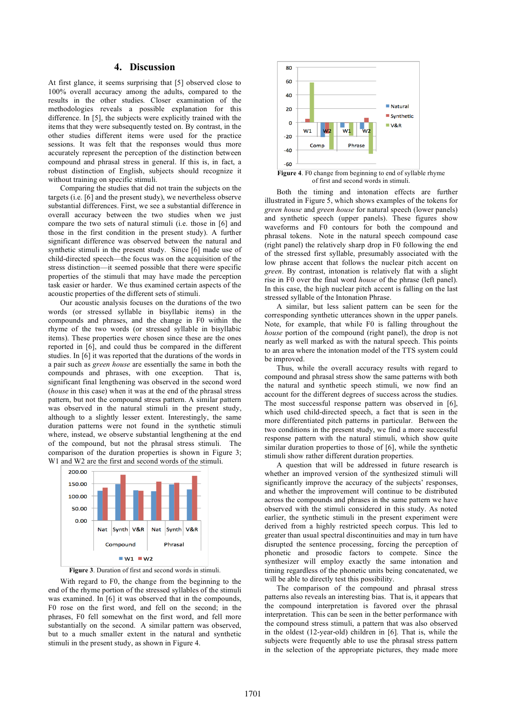## **4. Discussion**

At first glance, it seems surprising that [5] observed close to 100% overall accuracy among the adults, compared to the results in the other studies. Closer examination of the methodologies reveals a possible explanation for this difference. In [5], the subjects were explicitly trained with the items that they were subsequently tested on. By contrast, in the other studies different items were used for the practice sessions. It was felt that the responses would thus more accurately represent the perception of the distinction between compound and phrasal stress in general. If this is, in fact, a robust distinction of English, subjects should recognize it without training on specific stimuli.

Comparing the studies that did not train the subjects on the targets (i.e. [6] and the present study), we nevertheless observe substantial differences. First, we see a substantial difference in overall accuracy between the two studies when we just compare the two sets of natural stimuli (i.e. those in [6] and those in the first condition in the present study). A further significant difference was observed between the natural and synthetic stimuli in the present study. Since [6] made use of child-directed speech—the focus was on the acquisition of the stress distinction—it seemed possible that there were specific properties of the stimuli that may have made the perception task easier or harder. We thus examined certain aspects of the acoustic properties of the different sets of stimuli.

Our acoustic analysis focuses on the durations of the two words (or stressed syllable in bisyllabic items) in the compounds and phrases, and the change in F0 within the rhyme of the two words (or stressed syllable in bisyllabic items). These properties were chosen since these are the ones reported in [6], and could thus be compared in the different studies. In [6] it was reported that the durations of the words in a pair such as *green house* are essentially the same in both the compounds and phrases, with one exception. That is, significant final lengthening was observed in the second word (*house* in this case) when it was at the end of the phrasal stress pattern, but not the compound stress pattern. A similar pattern was observed in the natural stimuli in the present study, although to a slightly lesser extent. Interestingly, the same duration patterns were not found in the synthetic stimuli where, instead, we observe substantial lengthening at the end of the compound, but not the phrasal stress stimuli. The comparison of the duration properties is shown in Figure 3; W<sub>1</sub> and W<sub>2</sub> are the first and second words of the stimuli.



**Figure 3**. Duration of first and second words in stimuli.

With regard to F0, the change from the beginning to the end of the rhyme portion of the stressed syllables of the stimuli was examined. In [6] it was observed that in the compounds, F0 rose on the first word, and fell on the second; in the phrases, F0 fell somewhat on the first word, and fell more substantially on the second. A similar pattern was observed, but to a much smaller extent in the natural and synthetic stimuli in the present study, as shown in Figure 4.



Both the timing and intonation effects are further illustrated in Figure 5, which shows examples of the tokens for *green house* and *green house* for natural speech (lower panels) and synthetic speech (upper panels). These figures show waveforms and F0 contours for both the compound and phrasal tokens. Note in the natural speech compound case (right panel) the relatively sharp drop in F0 following the end of the stressed first syllable, presumably associated with the

low phrase accent that follows the nuclear pitch accent on *green*. By contrast, intonation is relatively flat with a slight rise in F0 over the final word *house* of the phrase (left panel). In this case, the high nuclear pitch accent is falling on the last stressed syllable of the Intonation Phrase.

A similar, but less salient pattern can be seen for the corresponding synthetic utterances shown in the upper panels. Note, for example, that while F0 is falling throughout the *house* portion of the compound (right panel), the drop is not nearly as well marked as with the natural speech. This points to an area where the intonation model of the TTS system could be improved.

Thus, while the overall accuracy results with regard to compound and phrasal stress show the same patterns with both the natural and synthetic speech stimuli, we now find an account for the different degrees of success across the studies. The most successful response pattern was observed in [6], which used child-directed speech, a fact that is seen in the more differentiated pitch patterns in particular. Between the two conditions in the present study, we find a more successful response pattern with the natural stimuli, which show quite similar duration properties to those of [6], while the synthetic stimuli show rather different duration properties.

A question that will be addressed in future research is whether an improved version of the synthesized stimuli will significantly improve the accuracy of the subjects' responses, and whether the improvement will continue to be distributed across the compounds and phrases in the same pattern we have observed with the stimuli considered in this study. As noted earlier, the synthetic stimuli in the present experiment were derived from a highly restricted speech corpus. This led to greater than usual spectral discontinuities and may in turn have disrupted the sentence processing, forcing the perception of phonetic and prosodic factors to compete. Since the synthesizer will employ exactly the same intonation and timing regardless of the phonetic units being concatenated, we will be able to directly test this possibility.

The comparison of the compound and phrasal stress patterns also reveals an interesting bias. That is, it appears that the compound interpretation is favored over the phrasal interpretation. This can be seen in the better performance with the compound stress stimuli, a pattern that was also observed in the oldest (12-year-old) children in [6]. That is, while the subjects were frequently able to use the phrasal stress pattern in the selection of the appropriate pictures, they made more